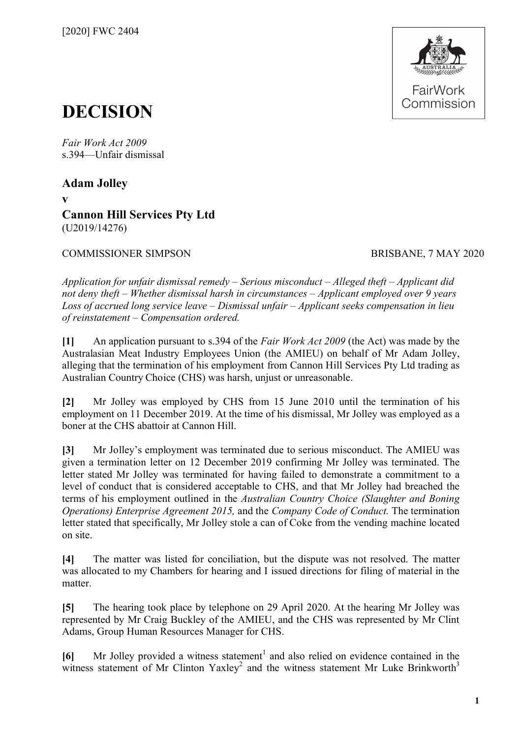

# **DECISION**

*Fair Work Act 2009*  s.394—Unfair dismissal

**Adam Jolley v Cannon Hill Services Pty Ltd** (U2019/14276)

COMMISSIONER SIMPSON BRISBANE, 7 MAY 2020

*Application for unfair dismissal remedy – Serious misconduct – Alleged theft – Applicant did not deny theft – Whether dismissal harsh in circumstances – Applicant employed over 9 years Loss of accrued long service leave – Dismissal unfair – Applicant seeks compensation in lieu of reinstatement – Compensation ordered.* 

**[1]** An application pursuant to s.394 of the *Fair Work Act 2009* (the Act) was made by the Australasian Meat Industry Employees Union (the AMIEU) on behalf of Mr Adam Jolley, alleging that the termination of his employment from Cannon Hill Services Pty Ltd trading as Australian Country Choice (CHS) was harsh, unjust or unreasonable.

**[2]** Mr Jolley was employed by CHS from 15 June 2010 until the termination of his employment on 11 December 2019. At the time of his dismissal, Mr Jolley was employed as a boner at the CHS abattoir at Cannon Hill.

**[3]** Mr Jolley's employment was terminated due to serious misconduct. The AMIEU was given a termination letter on 12 December 2019 confirming Mr Jolley was terminated. The letter stated Mr Jolley was terminated for having failed to demonstrate a commitment to a level of conduct that is considered acceptable to CHS, and that Mr Jolley had breached the terms of his employment outlined in the *Australian Country Choice (Slaughter and Boning Operations) Enterprise Agreement 2015,* and the *Company Code of Conduct.* The termination letter stated that specifically, Mr Jolley stole a can of Coke from the vending machine located on site.

**[4]** The matter was listed for conciliation, but the dispute was not resolved. The matter was allocated to my Chambers for hearing and I issued directions for filing of material in the matter.

**[5]** The hearing took place by telephone on 29 April 2020. At the hearing Mr Jolley was represented by Mr Craig Buckley of the AMIEU, and the CHS was represented by Mr Clint Adams, Group Human Resources Manager for CHS.

[6] Mr Jolley provided a witness statement<sup>[1](#page-18-0)</sup> and also relied on evidence contained in the witness statement of Mr Clinton Yaxley<sup>[2](#page-18-1)</sup> and the witness statement Mr Luke Brinkworth<sup>[3](#page-18-2)</sup>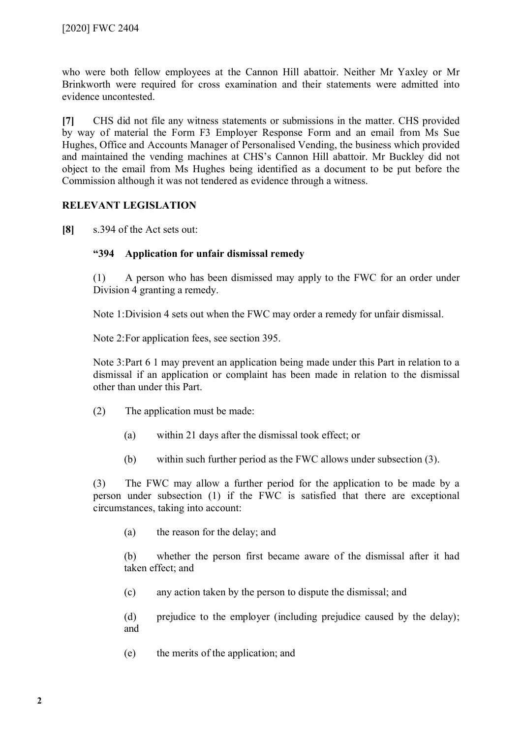who were both fellow employees at the Cannon Hill abattoir. Neither Mr Yaxley or Mr Brinkworth were required for cross examination and their statements were admitted into evidence uncontested.

**[7]** CHS did not file any witness statements or submissions in the matter. CHS provided by way of material the Form F3 Employer Response Form and an email from Ms Sue Hughes, Office and Accounts Manager of Personalised Vending, the business which provided and maintained the vending machines at CHS's Cannon Hill abattoir. Mr Buckley did not object to the email from Ms Hughes being identified as a document to be put before the Commission although it was not tendered as evidence through a witness.

# **RELEVANT LEGISLATION**

**[8]** s.394 of the Act sets out:

# **"394 Application for unfair dismissal remedy**

(1) A person who has been dismissed may apply to the FWC for an order under Division 4 granting a remedy.

Note 1:Division 4 sets out when the FWC may order a remedy for unfair dismissal.

Note 2:For application fees, see section 395.

Note 3:Part 6 1 may prevent an application being made under this Part in relation to a dismissal if an application or complaint has been made in relation to the dismissal other than under this Part.

- (2) The application must be made:
	- (a) within 21 days after the dismissal took effect; or
	- (b) within such further period as the FWC allows under subsection (3).

(3) The FWC may allow a further period for the application to be made by a person under subsection (1) if the FWC is satisfied that there are exceptional circumstances, taking into account:

(a) the reason for the delay; and

(b) whether the person first became aware of the dismissal after it had taken effect; and

(c) any action taken by the person to dispute the dismissal; and

(d) prejudice to the employer (including prejudice caused by the delay); and

(e) the merits of the application; and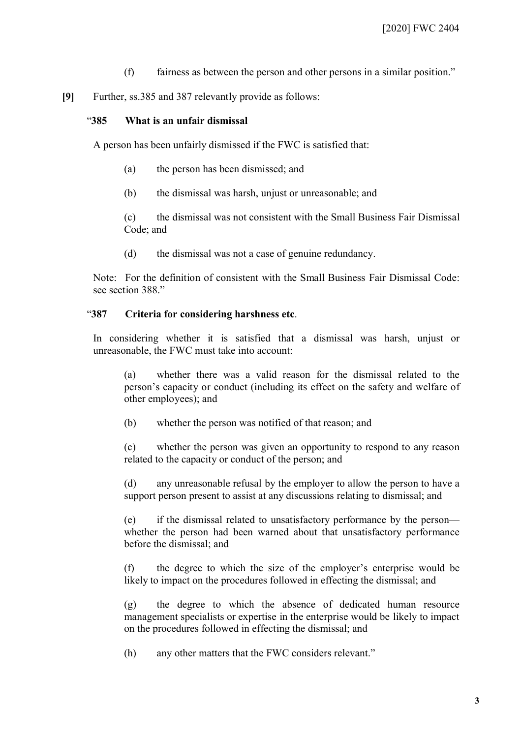- (f) fairness as between the person and other persons in a similar position."
- **[9]** Further, ss.385 and 387 relevantly provide as follows:

## "**385 What is an unfair dismissal**

A person has been unfairly dismissed if the FWC is satisfied that:

- (a) the person has been dismissed; and
- (b) the dismissal was harsh, unjust or unreasonable; and

(c) the dismissal was not consistent with the Small Business Fair Dismissal Code; and

(d) the dismissal was not a case of genuine redundancy.

Note: For the definition of consistent with the Small Business Fair Dismissal Code: see section 388."

#### "**387 Criteria for considering harshness etc**.

In considering whether it is satisfied that a dismissal was harsh, unjust or unreasonable, the FWC must take into account:

(a) whether there was a valid reason for the dismissal related to the person's capacity or conduct (including its effect on the safety and welfare of other employees); and

(b) whether the person was notified of that reason; and

(c) whether the person was given an opportunity to respond to any reason related to the capacity or conduct of the person; and

(d) any unreasonable refusal by the employer to allow the person to have a support person present to assist at any discussions relating to dismissal; and

(e) if the dismissal related to unsatisfactory performance by the person whether the person had been warned about that unsatisfactory performance before the dismissal; and

(f) the degree to which the size of the employer's enterprise would be likely to impact on the procedures followed in effecting the dismissal; and

(g) the degree to which the absence of dedicated human resource management specialists or expertise in the enterprise would be likely to impact on the procedures followed in effecting the dismissal; and

(h) any other matters that the FWC considers relevant."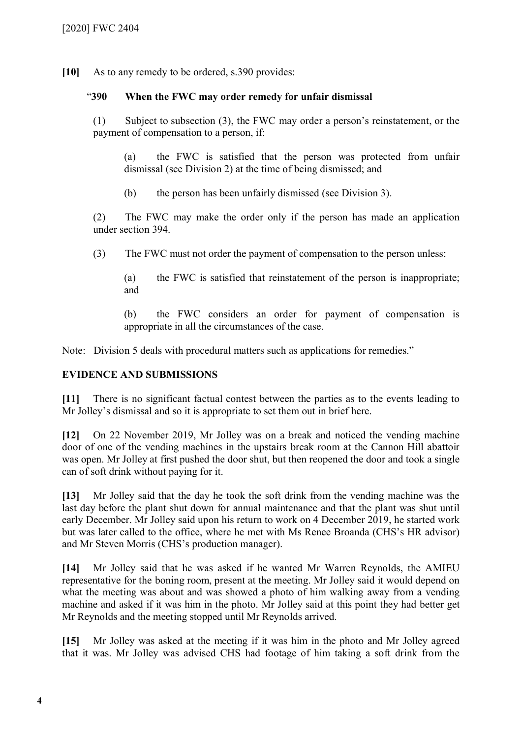**[10]** As to any remedy to be ordered, s.390 provides:

## "**390 When the FWC may order remedy for unfair dismissal**

(1) Subject to subsection (3), the FWC may order a person's reinstatement, or the payment of compensation to a person, if:

(a) the FWC is satisfied that the person was protected from unfair dismissal (see Division 2) at the time of being dismissed; and

(b) the person has been unfairly dismissed (see Division 3).

(2) The FWC may make the order only if the person has made an application under section 394.

(3) The FWC must not order the payment of compensation to the person unless:

(a) the FWC is satisfied that reinstatement of the person is inappropriate; and

(b) the FWC considers an order for payment of compensation is appropriate in all the circumstances of the case.

Note: Division 5 deals with procedural matters such as applications for remedies."

# **EVIDENCE AND SUBMISSIONS**

**[11]** There is no significant factual contest between the parties as to the events leading to Mr Jolley's dismissal and so it is appropriate to set them out in brief here.

**[12]** On 22 November 2019, Mr Jolley was on a break and noticed the vending machine door of one of the vending machines in the upstairs break room at the Cannon Hill abattoir was open. Mr Jolley at first pushed the door shut, but then reopened the door and took a single can of soft drink without paying for it.

**[13]** Mr Jolley said that the day he took the soft drink from the vending machine was the last day before the plant shut down for annual maintenance and that the plant was shut until early December. Mr Jolley said upon his return to work on 4 December 2019, he started work but was later called to the office, where he met with Ms Renee Broanda (CHS's HR advisor) and Mr Steven Morris (CHS's production manager).

**[14]** Mr Jolley said that he was asked if he wanted Mr Warren Reynolds, the AMIEU representative for the boning room, present at the meeting. Mr Jolley said it would depend on what the meeting was about and was showed a photo of him walking away from a vending machine and asked if it was him in the photo. Mr Jolley said at this point they had better get Mr Reynolds and the meeting stopped until Mr Reynolds arrived.

**[15]** Mr Jolley was asked at the meeting if it was him in the photo and Mr Jolley agreed that it was. Mr Jolley was advised CHS had footage of him taking a soft drink from the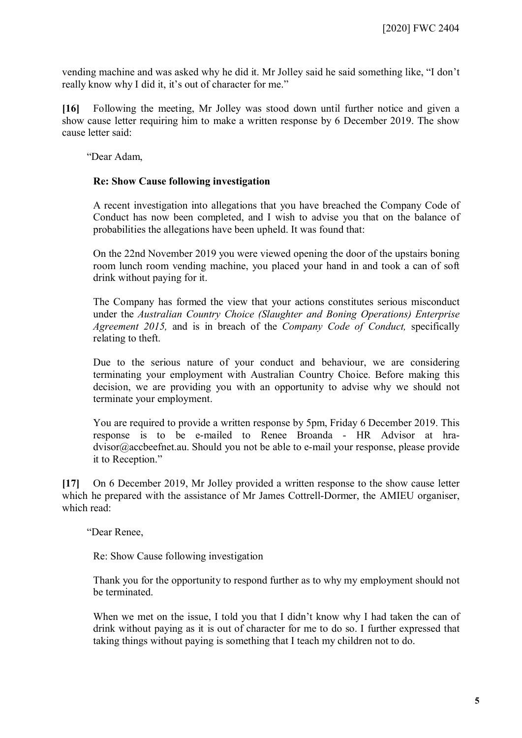vending machine and was asked why he did it. Mr Jolley said he said something like, "I don't really know why I did it, it's out of character for me."

**[16]** Following the meeting, Mr Jolley was stood down until further notice and given a show cause letter requiring him to make a written response by 6 December 2019. The show cause letter said:

"Dear Adam,

#### **Re: Show Cause following investigation**

A recent investigation into allegations that you have breached the Company Code of Conduct has now been completed, and I wish to advise you that on the balance of probabilities the allegations have been upheld. It was found that:

On the 22nd November 2019 you were viewed opening the door of the upstairs boning room lunch room vending machine, you placed your hand in and took a can of soft drink without paying for it.

The Company has formed the view that your actions constitutes serious misconduct under the *Australian Country Choice (Slaughter and Boning Operations) Enterprise Agreement 2015,* and is in breach of the *Company Code of Conduct,* specifically relating to theft.

Due to the serious nature of your conduct and behaviour, we are considering terminating your employment with Australian Country Choice. Before making this decision, we are providing you with an opportunity to advise why we should not terminate your employment.

You are required to provide a written response by 5pm, Friday 6 December 2019. This response is to be e-mailed to Renee Broanda - HR Advisor at hradvisor@accbeefnet.au. Should you not be able to e-mail your response, please provide it to Reception."

**[17]** On 6 December 2019, Mr Jolley provided a written response to the show cause letter which he prepared with the assistance of Mr James Cottrell-Dormer, the AMIEU organiser, which read:

"Dear Renee,

Re: Show Cause following investigation

Thank you for the opportunity to respond further as to why my employment should not be terminated.

When we met on the issue, I told you that I didn't know why I had taken the can of drink without paying as it is out of character for me to do so. I further expressed that taking things without paying is something that I teach my children not to do.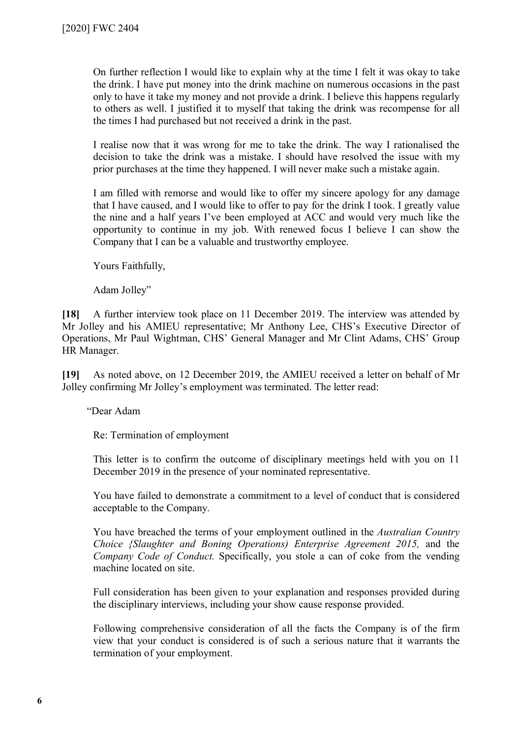On further reflection I would like to explain why at the time I felt it was okay to take the drink. I have put money into the drink machine on numerous occasions in the past only to have it take my money and not provide a drink. I believe this happens regularly to others as well. I justified it to myself that taking the drink was recompense for all the times I had purchased but not received a drink in the past.

I realise now that it was wrong for me to take the drink. The way I rationalised the decision to take the drink was a mistake. I should have resolved the issue with my prior purchases at the time they happened. I will never make such a mistake again.

I am filled with remorse and would like to offer my sincere apology for any damage that I have caused, and I would like to offer to pay for the drink I took. I greatly value the nine and a half years I've been employed at ACC and would very much like the opportunity to continue in my job. With renewed focus I believe I can show the Company that I can be a valuable and trustworthy employee.

Yours Faithfully,

Adam Jolley"

**[18]** A further interview took place on 11 December 2019. The interview was attended by Mr Jolley and his AMIEU representative; Mr Anthony Lee, CHS's Executive Director of Operations, Mr Paul Wightman, CHS' General Manager and Mr Clint Adams, CHS' Group HR Manager.

**[19]** As noted above, on 12 December 2019, the AMIEU received a letter on behalf of Mr Jolley confirming Mr Jolley's employment was terminated. The letter read:

"Dear Adam

Re: Termination of employment

This letter is to confirm the outcome of disciplinary meetings held with you on 11 December 2019 in the presence of your nominated representative.

You have failed to demonstrate a commitment to a level of conduct that is considered acceptable to the Company.

You have breached the terms of your employment outlined in the *Australian Country Choice {Slaughter and Boning Operations) Enterprise Agreement 2015,* and the *Company Code of Conduct.* Specifically, you stole a can of coke from the vending machine located on site.

Full consideration has been given to your explanation and responses provided during the disciplinary interviews, including your show cause response provided.

Following comprehensive consideration of all the facts the Company is of the firm view that your conduct is considered is of such a serious nature that it warrants the termination of your employment.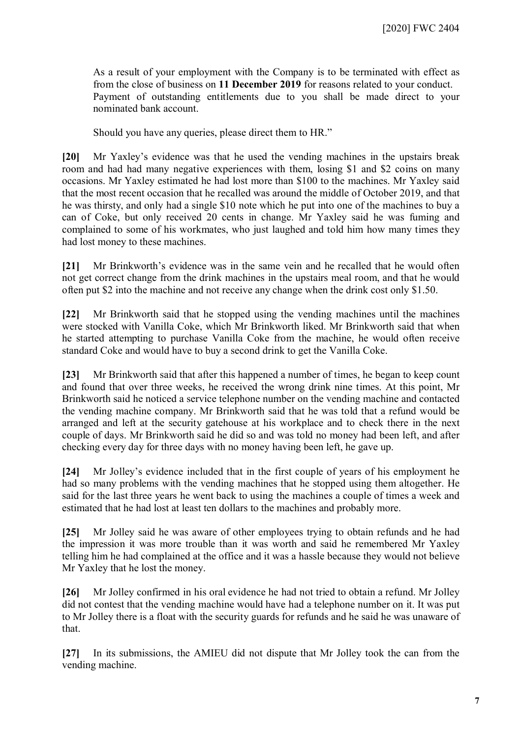As a result of your employment with the Company is to be terminated with effect as from the close of business on **11 December 2019** for reasons related to your conduct. Payment of outstanding entitlements due to you shall be made direct to your nominated bank account.

Should you have any queries, please direct them to HR."

**[20]** Mr Yaxley's evidence was that he used the vending machines in the upstairs break room and had had many negative experiences with them, losing \$1 and \$2 coins on many occasions. Mr Yaxley estimated he had lost more than \$100 to the machines. Mr Yaxley said that the most recent occasion that he recalled was around the middle of October 2019, and that he was thirsty, and only had a single \$10 note which he put into one of the machines to buy a can of Coke, but only received 20 cents in change. Mr Yaxley said he was fuming and complained to some of his workmates, who just laughed and told him how many times they had lost money to these machines.

**[21]** Mr Brinkworth's evidence was in the same vein and he recalled that he would often not get correct change from the drink machines in the upstairs meal room, and that he would often put \$2 into the machine and not receive any change when the drink cost only \$1.50.

**[22]** Mr Brinkworth said that he stopped using the vending machines until the machines were stocked with Vanilla Coke, which Mr Brinkworth liked. Mr Brinkworth said that when he started attempting to purchase Vanilla Coke from the machine, he would often receive standard Coke and would have to buy a second drink to get the Vanilla Coke.

**[23]** Mr Brinkworth said that after this happened a number of times, he began to keep count and found that over three weeks, he received the wrong drink nine times. At this point, Mr Brinkworth said he noticed a service telephone number on the vending machine and contacted the vending machine company. Mr Brinkworth said that he was told that a refund would be arranged and left at the security gatehouse at his workplace and to check there in the next couple of days. Mr Brinkworth said he did so and was told no money had been left, and after checking every day for three days with no money having been left, he gave up.

**[24]** Mr Jolley's evidence included that in the first couple of years of his employment he had so many problems with the vending machines that he stopped using them altogether. He said for the last three years he went back to using the machines a couple of times a week and estimated that he had lost at least ten dollars to the machines and probably more.

**[25]** Mr Jolley said he was aware of other employees trying to obtain refunds and he had the impression it was more trouble than it was worth and said he remembered Mr Yaxley telling him he had complained at the office and it was a hassle because they would not believe Mr Yaxley that he lost the money.

**[26]** Mr Jolley confirmed in his oral evidence he had not tried to obtain a refund. Mr Jolley did not contest that the vending machine would have had a telephone number on it. It was put to Mr Jolley there is a float with the security guards for refunds and he said he was unaware of that.

**[27]** In its submissions, the AMIEU did not dispute that Mr Jolley took the can from the vending machine.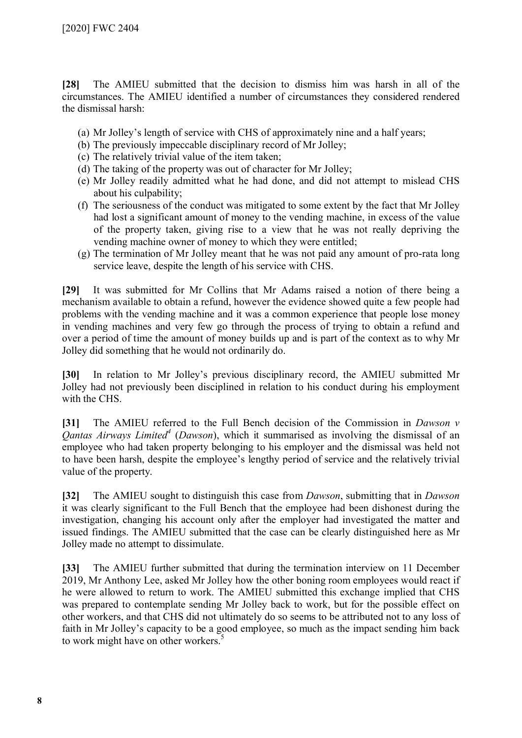**[28]** The AMIEU submitted that the decision to dismiss him was harsh in all of the circumstances. The AMIEU identified a number of circumstances they considered rendered the dismissal harsh:

- (a) Mr Jolley's length of service with CHS of approximately nine and a half years;
- (b) The previously impeccable disciplinary record of Mr Jolley;
- (c) The relatively trivial value of the item taken;
- (d) The taking of the property was out of character for Mr Jolley;
- (e) Mr Jolley readily admitted what he had done, and did not attempt to mislead CHS about his culpability;
- (f) The seriousness of the conduct was mitigated to some extent by the fact that Mr Jolley had lost a significant amount of money to the vending machine, in excess of the value of the property taken, giving rise to a view that he was not really depriving the vending machine owner of money to which they were entitled;
- (g) The termination of Mr Jolley meant that he was not paid any amount of pro-rata long service leave, despite the length of his service with CHS.

**[29]** It was submitted for Mr Collins that Mr Adams raised a notion of there being a mechanism available to obtain a refund, however the evidence showed quite a few people had problems with the vending machine and it was a common experience that people lose money in vending machines and very few go through the process of trying to obtain a refund and over a period of time the amount of money builds up and is part of the context as to why Mr Jolley did something that he would not ordinarily do.

**[30]** In relation to Mr Jolley's previous disciplinary record, the AMIEU submitted Mr Jolley had not previously been disciplined in relation to his conduct during his employment with the CHS.

**[31]** The AMIEU referred to the Full Bench decision of the Commission in *Dawson v Qantas Airways Limited[4](#page-18-3)* (*Dawson*), which it summarised as involving the dismissal of an employee who had taken property belonging to his employer and the dismissal was held not to have been harsh, despite the employee's lengthy period of service and the relatively trivial value of the property.

**[32]** The AMIEU sought to distinguish this case from *Dawson*, submitting that in *Dawson*  it was clearly significant to the Full Bench that the employee had been dishonest during the investigation, changing his account only after the employer had investigated the matter and issued findings. The AMIEU submitted that the case can be clearly distinguished here as Mr Jolley made no attempt to dissimulate.

**[33]** The AMIEU further submitted that during the termination interview on 11 December 2019, Mr Anthony Lee, asked Mr Jolley how the other boning room employees would react if he were allowed to return to work. The AMIEU submitted this exchange implied that CHS was prepared to contemplate sending Mr Jolley back to work, but for the possible effect on other workers, and that CHS did not ultimately do so seems to be attributed not to any loss of faith in Mr Jolley's capacity to be a good employee, so much as the impact sending him back to work might have on other workers.<sup>[5](#page-18-4)</sup>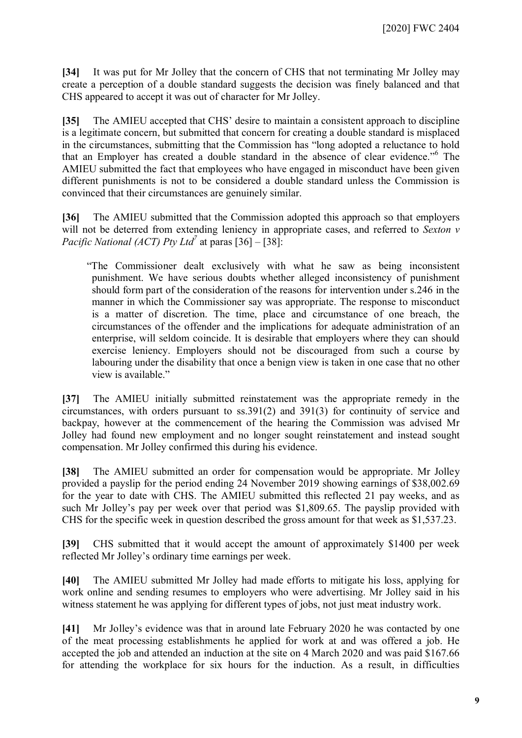**[34]** It was put for Mr Jolley that the concern of CHS that not terminating Mr Jolley may create a perception of a double standard suggests the decision was finely balanced and that CHS appeared to accept it was out of character for Mr Jolley.

**[35]** The AMIEU accepted that CHS' desire to maintain a consistent approach to discipline is a legitimate concern, but submitted that concern for creating a double standard is misplaced in the circumstances, submitting that the Commission has "long adopted a reluctance to hold that an Employer has created a double standard in the absence of clear evidence."[6](#page-18-5) The AMIEU submitted the fact that employees who have engaged in misconduct have been given different punishments is not to be considered a double standard unless the Commission is convinced that their circumstances are genuinely similar.

**[36]** The AMIEU submitted that the Commission adopted this approach so that employers will not be deterred from extending leniency in appropriate cases, and referred to *Sexton v Pacific National (ACT) Pty Ltd[7](#page-18-6)* at paras [36] – [38]:

"The Commissioner dealt exclusively with what he saw as being inconsistent punishment. We have serious doubts whether alleged inconsistency of punishment should form part of the consideration of the reasons for intervention under s.246 in the manner in which the Commissioner say was appropriate. The response to misconduct is a matter of discretion. The time, place and circumstance of one breach, the circumstances of the offender and the implications for adequate administration of an enterprise, will seldom coincide. It is desirable that employers where they can should exercise leniency. Employers should not be discouraged from such a course by labouring under the disability that once a benign view is taken in one case that no other view is available."

**[37]** The AMIEU initially submitted reinstatement was the appropriate remedy in the circumstances, with orders pursuant to ss.391(2) and 391(3) for continuity of service and backpay, however at the commencement of the hearing the Commission was advised Mr Jolley had found new employment and no longer sought reinstatement and instead sought compensation. Mr Jolley confirmed this during his evidence.

**[38]** The AMIEU submitted an order for compensation would be appropriate. Mr Jolley provided a payslip for the period ending 24 November 2019 showing earnings of \$38,002.69 for the year to date with CHS. The AMIEU submitted this reflected 21 pay weeks, and as such Mr Jolley's pay per week over that period was \$1,809.65. The payslip provided with CHS for the specific week in question described the gross amount for that week as \$1,537.23.

**[39]** CHS submitted that it would accept the amount of approximately \$1400 per week reflected Mr Jolley's ordinary time earnings per week.

**[40]** The AMIEU submitted Mr Jolley had made efforts to mitigate his loss, applying for work online and sending resumes to employers who were advertising. Mr Jolley said in his witness statement he was applying for different types of jobs, not just meat industry work.

**[41]** Mr Jolley's evidence was that in around late February 2020 he was contacted by one of the meat processing establishments he applied for work at and was offered a job. He accepted the job and attended an induction at the site on 4 March 2020 and was paid \$167.66 for attending the workplace for six hours for the induction. As a result, in difficulties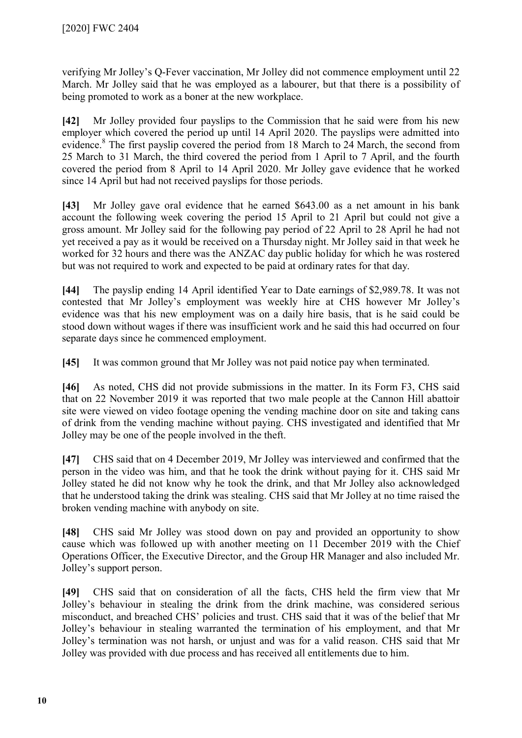verifying Mr Jolley's Q-Fever vaccination, Mr Jolley did not commence employment until 22 March. Mr Jolley said that he was employed as a labourer, but that there is a possibility of being promoted to work as a boner at the new workplace.

**[42]** Mr Jolley provided four payslips to the Commission that he said were from his new employer which covered the period up until 14 April 2020. The payslips were admitted into evidence.<sup>[8](#page-18-7)</sup> The first payslip covered the period from 18 March to 24 March, the second from 25 March to 31 March, the third covered the period from 1 April to 7 April, and the fourth covered the period from 8 April to 14 April 2020. Mr Jolley gave evidence that he worked since 14 April but had not received payslips for those periods.

**[43]** Mr Jolley gave oral evidence that he earned \$643.00 as a net amount in his bank account the following week covering the period 15 April to 21 April but could not give a gross amount. Mr Jolley said for the following pay period of 22 April to 28 April he had not yet received a pay as it would be received on a Thursday night. Mr Jolley said in that week he worked for 32 hours and there was the ANZAC day public holiday for which he was rostered but was not required to work and expected to be paid at ordinary rates for that day.

**[44]** The payslip ending 14 April identified Year to Date earnings of \$2,989.78. It was not contested that Mr Jolley's employment was weekly hire at CHS however Mr Jolley's evidence was that his new employment was on a daily hire basis, that is he said could be stood down without wages if there was insufficient work and he said this had occurred on four separate days since he commenced employment.

**[45]** It was common ground that Mr Jolley was not paid notice pay when terminated.

**[46]** As noted, CHS did not provide submissions in the matter. In its Form F3, CHS said that on 22 November 2019 it was reported that two male people at the Cannon Hill abattoir site were viewed on video footage opening the vending machine door on site and taking cans of drink from the vending machine without paying. CHS investigated and identified that Mr Jolley may be one of the people involved in the theft.

**[47]** CHS said that on 4 December 2019, Mr Jolley was interviewed and confirmed that the person in the video was him, and that he took the drink without paying for it. CHS said Mr Jolley stated he did not know why he took the drink, and that Mr Jolley also acknowledged that he understood taking the drink was stealing. CHS said that Mr Jolley at no time raised the broken vending machine with anybody on site.

**[48]** CHS said Mr Jolley was stood down on pay and provided an opportunity to show cause which was followed up with another meeting on 11 December 2019 with the Chief Operations Officer, the Executive Director, and the Group HR Manager and also included Mr. Jolley's support person.

**[49]** CHS said that on consideration of all the facts, CHS held the firm view that Mr Jolley's behaviour in stealing the drink from the drink machine, was considered serious misconduct, and breached CHS' policies and trust. CHS said that it was of the belief that Mr Jolley's behaviour in stealing warranted the termination of his employment, and that Mr Jolley's termination was not harsh, or unjust and was for a valid reason. CHS said that Mr Jolley was provided with due process and has received all entitlements due to him.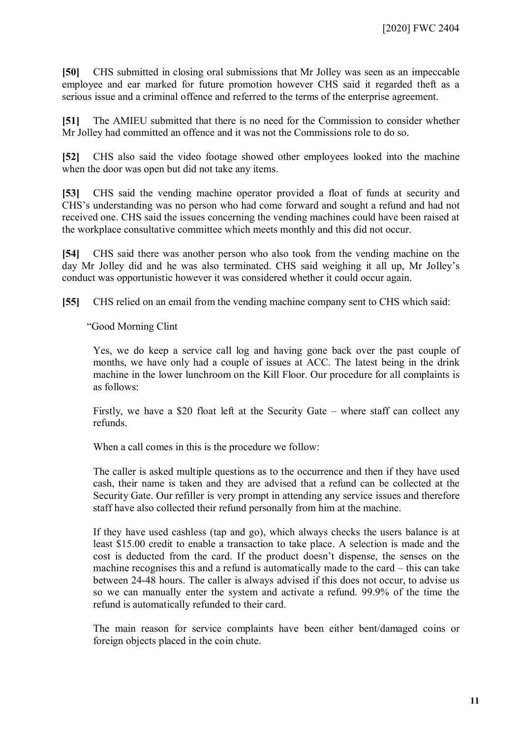**[50]** CHS submitted in closing oral submissions that Mr Jolley was seen as an impeccable employee and ear marked for future promotion however CHS said it regarded theft as a serious issue and a criminal offence and referred to the terms of the enterprise agreement.

**[51]** The AMIEU submitted that there is no need for the Commission to consider whether Mr Jolley had committed an offence and it was not the Commissions role to do so.

**[52]** CHS also said the video footage showed other employees looked into the machine when the door was open but did not take any items.

**[53]** CHS said the vending machine operator provided a float of funds at security and CHS's understanding was no person who had come forward and sought a refund and had not received one. CHS said the issues concerning the vending machines could have been raised at the workplace consultative committee which meets monthly and this did not occur.

**[54]** CHS said there was another person who also took from the vending machine on the day Mr Jolley did and he was also terminated. CHS said weighing it all up, Mr Jolley's conduct was opportunistic however it was considered whether it could occur again.

**[55]** CHS relied on an email from the vending machine company sent to CHS which said:

"Good Morning Clint

Yes, we do keep a service call log and having gone back over the past couple of months, we have only had a couple of issues at ACC. The latest being in the drink machine in the lower lunchroom on the Kill Floor. Our procedure for all complaints is as follows:

Firstly, we have a \$20 float left at the Security Gate – where staff can collect any refunds.

When a call comes in this is the procedure we follow:

The caller is asked multiple questions as to the occurrence and then if they have used cash, their name is taken and they are advised that a refund can be collected at the Security Gate. Our refiller is very prompt in attending any service issues and therefore staff have also collected their refund personally from him at the machine.

If they have used cashless (tap and go), which always checks the users balance is at least \$15.00 credit to enable a transaction to take place. A selection is made and the cost is deducted from the card. If the product doesn't dispense, the senses on the machine recognises this and a refund is automatically made to the card – this can take between 24-48 hours. The caller is always advised if this does not occur, to advise us so we can manually enter the system and activate a refund. 99.9% of the time the refund is automatically refunded to their card.

The main reason for service complaints have been either bent/damaged coins or foreign objects placed in the coin chute.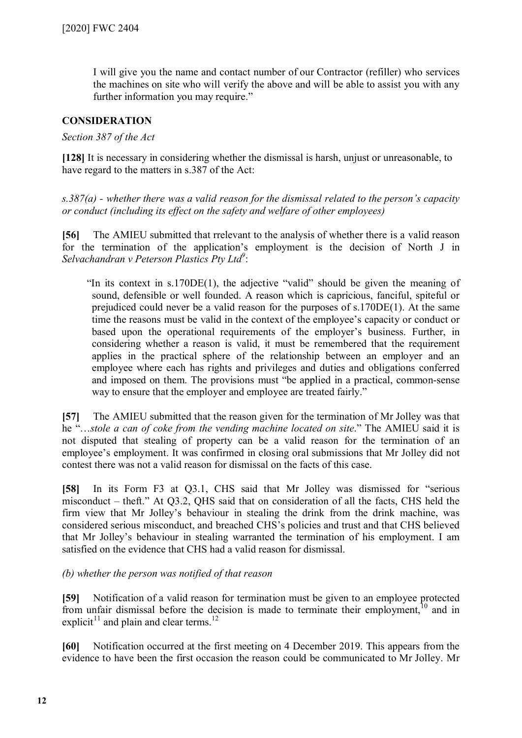I will give you the name and contact number of our Contractor (refiller) who services the machines on site who will verify the above and will be able to assist you with any further information you may require."

# **CONSIDERATION**

#### *Section 387 of the Act*

**[128]** It is necessary in considering whether the dismissal is harsh, unjust or unreasonable, to have regard to the matters in s.387 of the Act:

*s.387(a) - whether there was a valid reason for the dismissal related to the person's capacity or conduct (including its effect on the safety and welfare of other employees)*

**[56]** The AMIEU submitted that rrelevant to the analysis of whether there is a valid reason for the termination of the application's employment is the decision of North J in *Selvachandran v Peterson Plastics Pty Ltd[9](#page-18-8)* :

"In its context in s.170DE(1), the adjective "valid" should be given the meaning of sound, defensible or well founded. A reason which is capricious, fanciful, spiteful or prejudiced could never be a valid reason for the purposes of s.170DE(1). At the same time the reasons must be valid in the context of the employee's capacity or conduct or based upon the operational requirements of the employer's business. Further, in considering whether a reason is valid, it must be remembered that the requirement applies in the practical sphere of the relationship between an employer and an employee where each has rights and privileges and duties and obligations conferred and imposed on them. The provisions must "be applied in a practical, common-sense way to ensure that the employer and employee are treated fairly."

**[57]** The AMIEU submitted that the reason given for the termination of Mr Jolley was that he "…*stole a can of coke from the vending machine located on site*." The AMIEU said it is not disputed that stealing of property can be a valid reason for the termination of an employee's employment. It was confirmed in closing oral submissions that Mr Jolley did not contest there was not a valid reason for dismissal on the facts of this case.

**[58]** In its Form F3 at Q3.1, CHS said that Mr Jolley was dismissed for "serious misconduct – theft." At Q3.2, QHS said that on consideration of all the facts, CHS held the firm view that Mr Jolley's behaviour in stealing the drink from the drink machine, was considered serious misconduct, and breached CHS's policies and trust and that CHS believed that Mr Jolley's behaviour in stealing warranted the termination of his employment. I am satisfied on the evidence that CHS had a valid reason for dismissal.

*(b) whether the person was notified of that reason*

**[59]** Notification of a valid reason for termination must be given to an employee protected from unfair dismissal before the decision is made to terminate their employment,  $10$  and in explicit<sup>[11](#page-18-10)</sup> and plain and clear terms.<sup>[12](#page-18-11)</sup>

**[60]** Notification occurred at the first meeting on 4 December 2019. This appears from the evidence to have been the first occasion the reason could be communicated to Mr Jolley. Mr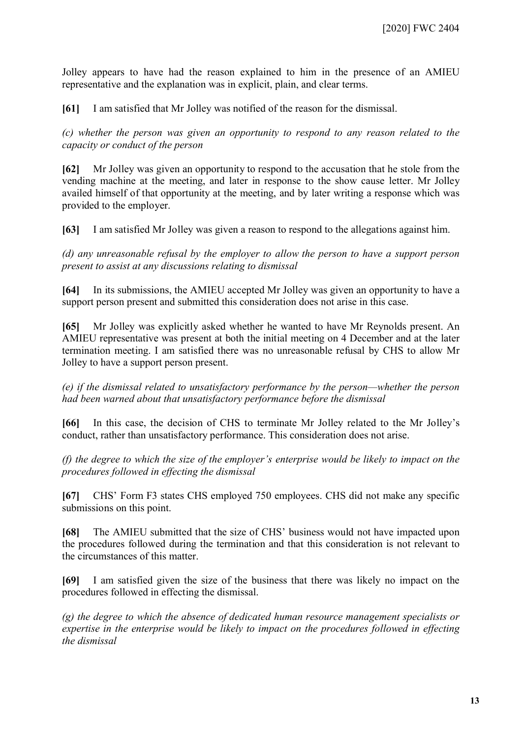Jolley appears to have had the reason explained to him in the presence of an AMIEU representative and the explanation was in explicit, plain, and clear terms.

**[61]** I am satisfied that Mr Jolley was notified of the reason for the dismissal.

*(c) whether the person was given an opportunity to respond to any reason related to the capacity or conduct of the person*

**[62]** Mr Jolley was given an opportunity to respond to the accusation that he stole from the vending machine at the meeting, and later in response to the show cause letter. Mr Jolley availed himself of that opportunity at the meeting, and by later writing a response which was provided to the employer.

**[63]** I am satisfied Mr Jolley was given a reason to respond to the allegations against him.

*(d) any unreasonable refusal by the employer to allow the person to have a support person present to assist at any discussions relating to dismissal*

**[64]** In its submissions, the AMIEU accepted Mr Jolley was given an opportunity to have a support person present and submitted this consideration does not arise in this case.

**[65]** Mr Jolley was explicitly asked whether he wanted to have Mr Reynolds present. An AMIEU representative was present at both the initial meeting on 4 December and at the later termination meeting. I am satisfied there was no unreasonable refusal by CHS to allow Mr Jolley to have a support person present.

*(e) if the dismissal related to unsatisfactory performance by the person—whether the person had been warned about that unsatisfactory performance before the dismissal*

**[66]** In this case, the decision of CHS to terminate Mr Jolley related to the Mr Jolley's conduct, rather than unsatisfactory performance. This consideration does not arise.

*(f) the degree to which the size of the employer's enterprise would be likely to impact on the procedures followed in effecting the dismissal*

**[67]** CHS' Form F3 states CHS employed 750 employees. CHS did not make any specific submissions on this point.

**[68]** The AMIEU submitted that the size of CHS' business would not have impacted upon the procedures followed during the termination and that this consideration is not relevant to the circumstances of this matter.

**[69]** I am satisfied given the size of the business that there was likely no impact on the procedures followed in effecting the dismissal.

*(g) the degree to which the absence of dedicated human resource management specialists or expertise in the enterprise would be likely to impact on the procedures followed in effecting the dismissal*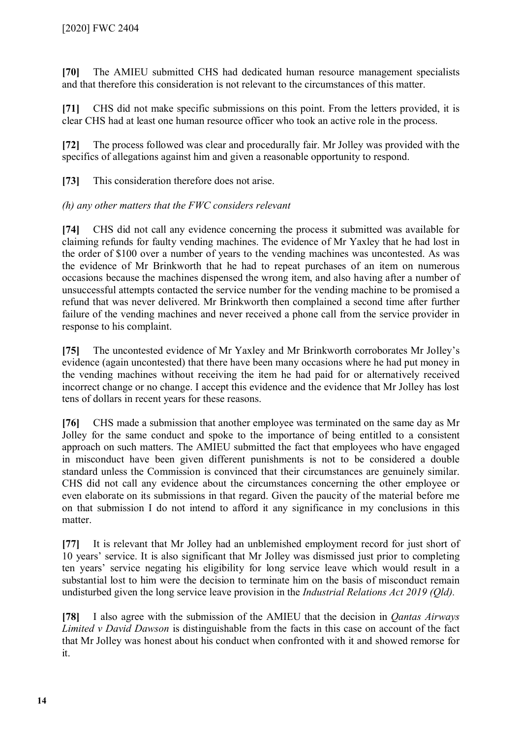**[70]** The AMIEU submitted CHS had dedicated human resource management specialists and that therefore this consideration is not relevant to the circumstances of this matter.

**[71]** CHS did not make specific submissions on this point. From the letters provided, it is clear CHS had at least one human resource officer who took an active role in the process.

**[72]** The process followed was clear and procedurally fair. Mr Jolley was provided with the specifics of allegations against him and given a reasonable opportunity to respond.

**[73]** This consideration therefore does not arise.

# *(h) any other matters that the FWC considers relevant*

**[74]** CHS did not call any evidence concerning the process it submitted was available for claiming refunds for faulty vending machines. The evidence of Mr Yaxley that he had lost in the order of \$100 over a number of years to the vending machines was uncontested. As was the evidence of Mr Brinkworth that he had to repeat purchases of an item on numerous occasions because the machines dispensed the wrong item, and also having after a number of unsuccessful attempts contacted the service number for the vending machine to be promised a refund that was never delivered. Mr Brinkworth then complained a second time after further failure of the vending machines and never received a phone call from the service provider in response to his complaint.

**[75]** The uncontested evidence of Mr Yaxley and Mr Brinkworth corroborates Mr Jolley's evidence (again uncontested) that there have been many occasions where he had put money in the vending machines without receiving the item he had paid for or alternatively received incorrect change or no change. I accept this evidence and the evidence that Mr Jolley has lost tens of dollars in recent years for these reasons.

**[76]** CHS made a submission that another employee was terminated on the same day as Mr Jolley for the same conduct and spoke to the importance of being entitled to a consistent approach on such matters. The AMIEU submitted the fact that employees who have engaged in misconduct have been given different punishments is not to be considered a double standard unless the Commission is convinced that their circumstances are genuinely similar. CHS did not call any evidence about the circumstances concerning the other employee or even elaborate on its submissions in that regard. Given the paucity of the material before me on that submission I do not intend to afford it any significance in my conclusions in this matter.

**[77]** It is relevant that Mr Jolley had an unblemished employment record for just short of 10 years' service. It is also significant that Mr Jolley was dismissed just prior to completing ten years' service negating his eligibility for long service leave which would result in a substantial lost to him were the decision to terminate him on the basis of misconduct remain undisturbed given the long service leave provision in the *Industrial Relations Act 2019 (Qld).*

**[78]** I also agree with the submission of the AMIEU that the decision in *Qantas Airways Limited v David Dawson* is distinguishable from the facts in this case on account of the fact that Mr Jolley was honest about his conduct when confronted with it and showed remorse for it.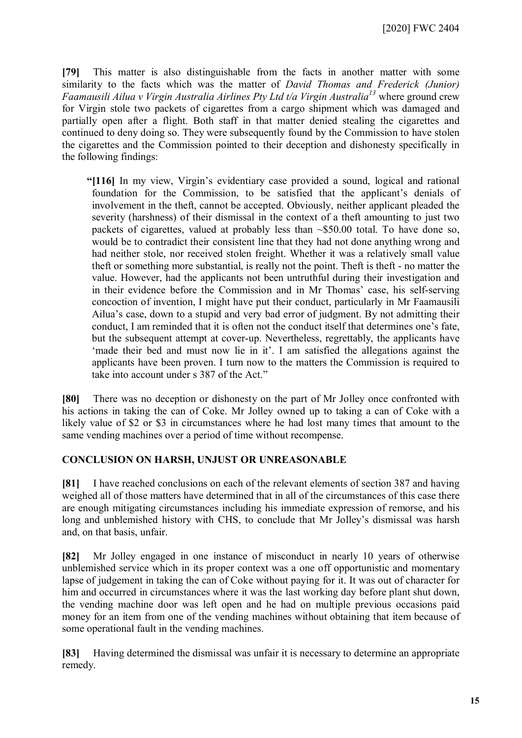[2020] FWC 2404

**[79]** This matter is also distinguishable from the facts in another matter with some similarity to the facts which was the matter of *David Thomas and Frederick (Junior) Faamausili Ailua v Virgin Australia Airlines Pty Ltd t/a Virgin Australia[13](#page-18-12)* where ground crew for Virgin stole two packets of cigarettes from a cargo shipment which was damaged and partially open after a flight. Both staff in that matter denied stealing the cigarettes and continued to deny doing so. They were subsequently found by the Commission to have stolen the cigarettes and the Commission pointed to their deception and dishonesty specifically in the following findings:

**"[116]** In my view, Virgin's evidentiary case provided a sound, logical and rational foundation for the Commission, to be satisfied that the applicant's denials of involvement in the theft, cannot be accepted. Obviously, neither applicant pleaded the severity (harshness) of their dismissal in the context of a theft amounting to just two packets of cigarettes, valued at probably less than ~\$50.00 total. To have done so, would be to contradict their consistent line that they had not done anything wrong and had neither stole, nor received stolen freight. Whether it was a relatively small value theft or something more substantial, is really not the point. Theft is theft - no matter the value. However, had the applicants not been untruthful during their investigation and in their evidence before the Commission and in Mr Thomas' case, his self-serving concoction of invention, I might have put their conduct, particularly in Mr Faamausili Ailua's case, down to a stupid and very bad error of judgment. By not admitting their conduct, I am reminded that it is often not the conduct itself that determines one's fate, but the subsequent attempt at cover-up. Nevertheless, regrettably, the applicants have 'made their bed and must now lie in it'. I am satisfied the allegations against the applicants have been proven. I turn now to the matters the Commission is required to take into account under s 387 of the Act."

**[80]** There was no deception or dishonesty on the part of Mr Jolley once confronted with his actions in taking the can of Coke. Mr Jolley owned up to taking a can of Coke with a likely value of \$2 or \$3 in circumstances where he had lost many times that amount to the same vending machines over a period of time without recompense.

# **CONCLUSION ON HARSH, UNJUST OR UNREASONABLE**

**[81]** I have reached conclusions on each of the relevant elements of section 387 and having weighed all of those matters have determined that in all of the circumstances of this case there are enough mitigating circumstances including his immediate expression of remorse, and his long and unblemished history with CHS, to conclude that Mr Jolley's dismissal was harsh and, on that basis, unfair.

**[82]** Mr Jolley engaged in one instance of misconduct in nearly 10 years of otherwise unblemished service which in its proper context was a one off opportunistic and momentary lapse of judgement in taking the can of Coke without paying for it. It was out of character for him and occurred in circumstances where it was the last working day before plant shut down, the vending machine door was left open and he had on multiple previous occasions paid money for an item from one of the vending machines without obtaining that item because of some operational fault in the vending machines.

**[83]** Having determined the dismissal was unfair it is necessary to determine an appropriate remedy.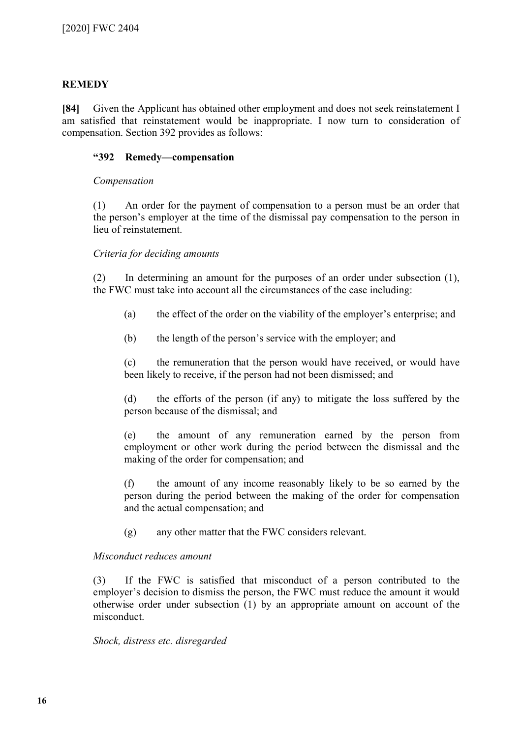# **REMEDY**

**[84]** Given the Applicant has obtained other employment and does not seek reinstatement I am satisfied that reinstatement would be inappropriate. I now turn to consideration of compensation. Section 392 provides as follows:

#### **"392 Remedy—compensation**

#### *Compensation*

(1) An order for the payment of compensation to a person must be an order that the person's employer at the time of the dismissal pay compensation to the person in lieu of reinstatement.

## *Criteria for deciding amounts*

(2) In determining an amount for the purposes of an order under subsection (1), the FWC must take into account all the circumstances of the case including:

- (a) the effect of the order on the viability of the employer's enterprise; and
- (b) the length of the person's service with the employer; and

(c) the remuneration that the person would have received, or would have been likely to receive, if the person had not been dismissed; and

(d) the efforts of the person (if any) to mitigate the loss suffered by the person because of the dismissal; and

(e) the amount of any remuneration earned by the person from employment or other work during the period between the dismissal and the making of the order for compensation; and

(f) the amount of any income reasonably likely to be so earned by the person during the period between the making of the order for compensation and the actual compensation; and

(g) any other matter that the FWC considers relevant.

#### *Misconduct reduces amount*

(3) If the FWC is satisfied that misconduct of a person contributed to the employer's decision to dismiss the person, the FWC must reduce the amount it would otherwise order under subsection (1) by an appropriate amount on account of the misconduct.

#### *Shock, distress etc. disregarded*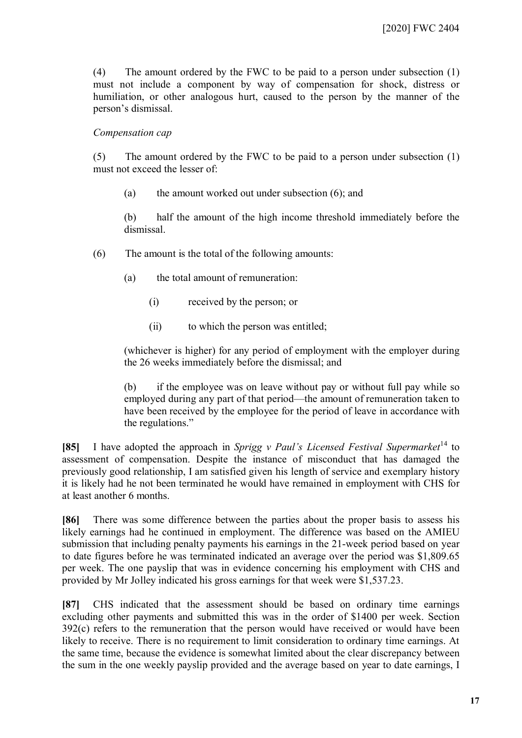(4) The amount ordered by the FWC to be paid to a person under subsection (1) must not include a component by way of compensation for shock, distress or humiliation, or other analogous hurt, caused to the person by the manner of the person's dismissal.

#### *Compensation cap*

(5) The amount ordered by the FWC to be paid to a person under subsection (1) must not exceed the lesser of:

(a) the amount worked out under subsection (6); and

(b) half the amount of the high income threshold immediately before the dismissal.

- (6) The amount is the total of the following amounts:
	- (a) the total amount of remuneration:
		- (i) received by the person; or
		- (ii) to which the person was entitled;

(whichever is higher) for any period of employment with the employer during the 26 weeks immediately before the dismissal; and

(b) if the employee was on leave without pay or without full pay while so employed during any part of that period—the amount of remuneration taken to have been received by the employee for the period of leave in accordance with the regulations."

**[85]** I have adopted the approach in *Sprigg v Paul's Licensed Festival Supermarket*<sup>[14](#page-18-13)</sup> to assessment of compensation. Despite the instance of misconduct that has damaged the previously good relationship, I am satisfied given his length of service and exemplary history it is likely had he not been terminated he would have remained in employment with CHS for at least another 6 months.

**[86]** There was some difference between the parties about the proper basis to assess his likely earnings had he continued in employment. The difference was based on the AMIEU submission that including penalty payments his earnings in the 21-week period based on year to date figures before he was terminated indicated an average over the period was \$1,809.65 per week. The one payslip that was in evidence concerning his employment with CHS and provided by Mr Jolley indicated his gross earnings for that week were \$1,537.23.

**[87]** CHS indicated that the assessment should be based on ordinary time earnings excluding other payments and submitted this was in the order of \$1400 per week. Section 392(c) refers to the remuneration that the person would have received or would have been likely to receive. There is no requirement to limit consideration to ordinary time earnings. At the same time, because the evidence is somewhat limited about the clear discrepancy between the sum in the one weekly payslip provided and the average based on year to date earnings, I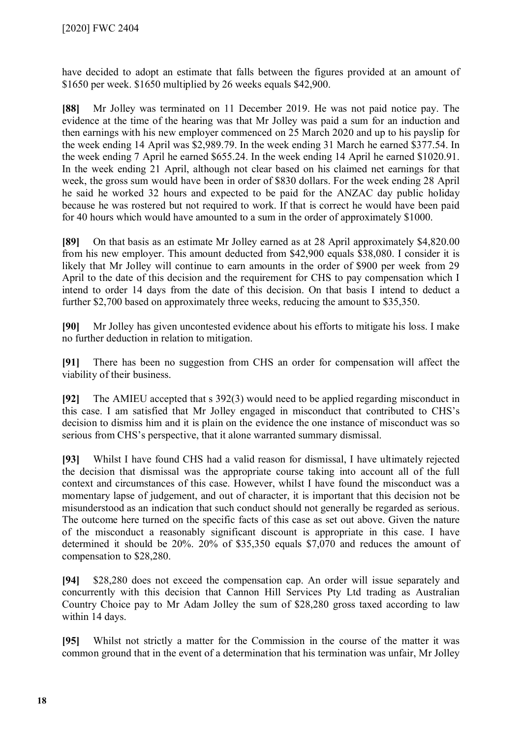have decided to adopt an estimate that falls between the figures provided at an amount of \$1650 per week. \$1650 multiplied by 26 weeks equals \$42,900.

**[88]** Mr Jolley was terminated on 11 December 2019. He was not paid notice pay. The evidence at the time of the hearing was that Mr Jolley was paid a sum for an induction and then earnings with his new employer commenced on 25 March 2020 and up to his payslip for the week ending 14 April was \$2,989.79. In the week ending 31 March he earned \$377.54. In the week ending 7 April he earned \$655.24. In the week ending 14 April he earned \$1020.91. In the week ending 21 April, although not clear based on his claimed net earnings for that week, the gross sum would have been in order of \$830 dollars. For the week ending 28 April he said he worked 32 hours and expected to be paid for the ANZAC day public holiday because he was rostered but not required to work. If that is correct he would have been paid for 40 hours which would have amounted to a sum in the order of approximately \$1000.

**[89]** On that basis as an estimate Mr Jolley earned as at 28 April approximately \$4,820.00 from his new employer. This amount deducted from \$42,900 equals \$38,080. I consider it is likely that Mr Jolley will continue to earn amounts in the order of \$900 per week from 29 April to the date of this decision and the requirement for CHS to pay compensation which I intend to order 14 days from the date of this decision. On that basis I intend to deduct a further \$2,700 based on approximately three weeks, reducing the amount to \$35,350.

**[90]** Mr Jolley has given uncontested evidence about his efforts to mitigate his loss. I make no further deduction in relation to mitigation.

**[91]** There has been no suggestion from CHS an order for compensation will affect the viability of their business.

**[92]** The AMIEU accepted that s 392(3) would need to be applied regarding misconduct in this case. I am satisfied that Mr Jolley engaged in misconduct that contributed to CHS's decision to dismiss him and it is plain on the evidence the one instance of misconduct was so serious from CHS's perspective, that it alone warranted summary dismissal.

**[93]** Whilst I have found CHS had a valid reason for dismissal, I have ultimately rejected the decision that dismissal was the appropriate course taking into account all of the full context and circumstances of this case. However, whilst I have found the misconduct was a momentary lapse of judgement, and out of character, it is important that this decision not be misunderstood as an indication that such conduct should not generally be regarded as serious. The outcome here turned on the specific facts of this case as set out above. Given the nature of the misconduct a reasonably significant discount is appropriate in this case. I have determined it should be 20%. 20% of \$35,350 equals \$7,070 and reduces the amount of compensation to \$28,280.

**[94]** \$28,280 does not exceed the compensation cap. An order will issue separately and concurrently with this decision that Cannon Hill Services Pty Ltd trading as Australian Country Choice pay to Mr Adam Jolley the sum of \$28,280 gross taxed according to law within 14 days.

**[95]** Whilst not strictly a matter for the Commission in the course of the matter it was common ground that in the event of a determination that his termination was unfair, Mr Jolley